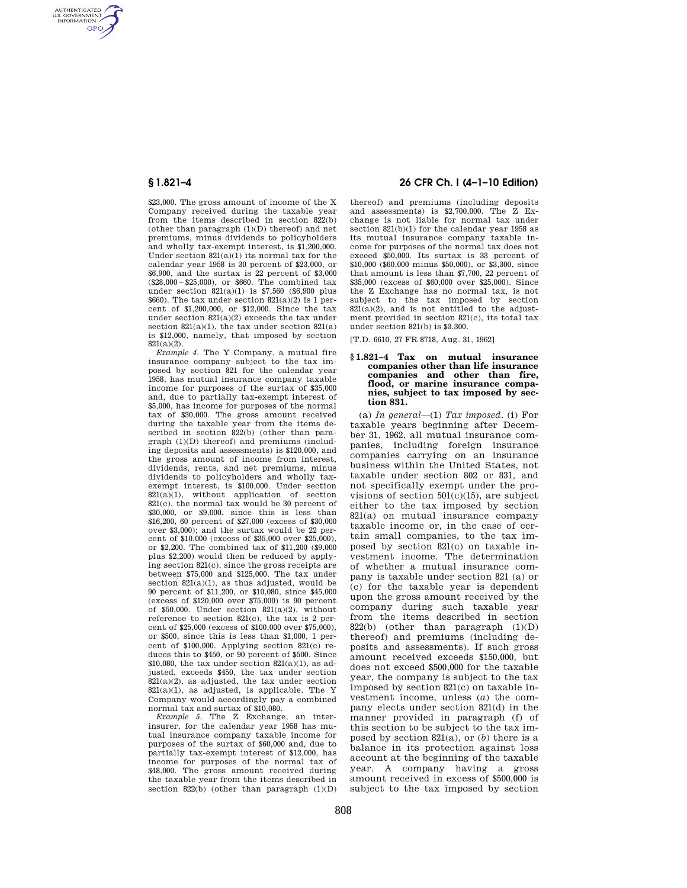AUTHENTICATED<br>U.S. GOVERNMENT<br>INFORMATION GPO

> \$23,000. The gross amount of income of the X Company received during the taxable year from the items described in section 822(b) (other than paragraph (1)(D) thereof) and net premiums, minus dividends to policyholders and wholly tax-exempt interest, is \$1,200,000. Under section 821(a)(1) its normal tax for the calendar year 1958 is 30 percent of \$23,000, or \$6,900, and the surtax is 22 percent of \$3,000  $(S28,000 - S25,000)$ , or \$660. The combined tax under section  $821(a)(1)$  is \$7,560 (\$6,900 plus  $$660)$ . The tax under section  $$21(a)(2)$  is 1 percent of \$1,200,000, or \$12,000. Since the tax under section 821(a)(2) exceeds the tax under section  $821(a)(1)$ , the tax under section  $821(a)$ is \$12,000, namely, that imposed by section 821(a)(2).

> *Example 4.* The Y Company, a mutual fire insurance company subject to the tax imposed by section 821 for the calendar year 1958, has mutual insurance company taxable income for purposes of the surtax of \$35,000 and, due to partially tax-exempt interest of \$5,000, has income for purposes of the normal tax of \$30,000. The gross amount received during the taxable year from the items described in section 822(b) (other than paragraph (1)(D) thereof) and premiums (including deposits and assessments) is \$120,000, and the gross amount of income from interest, dividends, rents, and net premiums, minus dividends to policyholders and wholly taxexempt interest, is \$100,000. Under section  $821(a)(1)$ , without application of section 821(c), the normal tax would be 30 percent of \$30,000, or \$9,000, since this is less than \$16,200, 60 percent of \$27,000 (excess of \$30,000 over \$3,000); and the surtax would be 22 percent of \$10,000 (excess of \$35,000 over \$25,000), or \$2,200. The combined tax of \$11,200 (\$9,000 plus \$2,200) would then be reduced by applying section 821(c), since the gross receipts are between \$75,000 and \$125,000. The tax under section  $821(a)(1)$ , as thus adjusted, would be 90 percent of \$11,200, or \$10,080, since \$45,000 (excess of \$120,000 over \$75,000) is 90 percent of  $$50,000$ . Under section  $821(a)(2)$ , without reference to section 821(c), the tax is 2 percent of \$25,000 (excess of \$100,000 over \$75,000), or \$500, since this is less than \$1,000, 1 percent of \$100,000. Applying section 821(c) reduces this to \$450, or 90 percent of \$500. Since \$10,080, the tax under section  $821(a)(1)$ , as adjusted, exceeds \$450, the tax under section  $821(a)(2)$ , as adjusted, the tax under section  $821(a)(1)$ , as adjusted, is applicable. The Y Company would accordingly pay a combined normal tax and surtax of \$10,080.

> *Example 5.* The Z Exchange, an interinsurer, for the calendar year 1958 has mutual insurance company taxable income for purposes of the surtax of \$60,000 and, due to partially tax-exempt interest of \$12,000, has income for purposes of the normal tax of \$48,000. The gross amount received during the taxable year from the items described in section  $822(b)$  (other than paragraph  $(1)(D)$

# **§ 1.821–4 26 CFR Ch. I (4–1–10 Edition)**

thereof) and premiums (including deposits and assessments) is \$2,700,000. The Z Exchange is not liable for normal tax under section 821(b)(1) for the calendar year 1958 as its mutual insurance company taxable income for purposes of the normal tax does not exceed \$50,000. Its surtax is 33 percent of \$10,000 (\$60,000 minus \$50,000), or \$3,300, since that amount is less than \$7,700, 22 percent of \$35,000 (excess of \$60,000 over \$25,000). Since the Z Exchange has no normal tax, is not subject to the tax imposed by section  $821(a)(2)$ , and is not entitled to the adjustment provided in section 821(c), its total tax under section 821(b) is \$3,300.

[T.D. 6610, 27 FR 8718, Aug. 31, 1962]

### **§ 1.821–4 Tax on mutual insurance companies other than life insurance companies and other than fire, flood, or marine insurance companies, subject to tax imposed by section 831.**

(a) *In general*—(1) *Tax imposed.* (i) For taxable years beginning after December 31, 1962, all mutual insurance companies, including foreign insurance companies carrying on an insurance business within the United States, not taxable under section 802 or 831, and not specifically exempt under the provisions of section  $501(c)(15)$ , are subject either to the tax imposed by section 821(a) on mutual insurance company taxable income or, in the case of certain small companies, to the tax imposed by section 821(c) on taxable investment income. The determination of whether a mutual insurance company is taxable under section 821 (a) or (c) for the taxable year is dependent upon the gross amount received by the company during such taxable year from the items described in section 822(b) (other than paragraph  $(1)(D)$ thereof) and premiums (including deposits and assessments). If such gross amount received exceeds \$150,000, but does not exceed \$500,000 for the taxable year, the company is subject to the tax imposed by section 821(c) on taxable investment income, unless (*a*) the company elects under section 821(d) in the manner provided in paragraph (f) of this section to be subject to the tax imposed by section 821(a), or (*b*) there is a balance in its protection against loss account at the beginning of the taxable year. A company having a gross amount received in excess of \$500,000 is subject to the tax imposed by section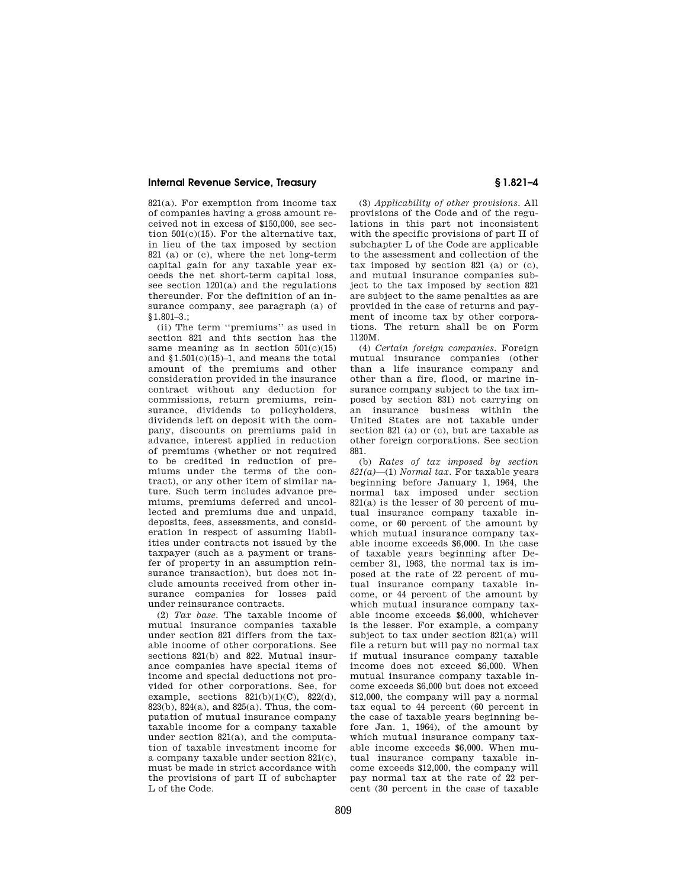# **Internal Revenue Service, Treasury § 1.821–4**

821(a). For exemption from income tax of companies having a gross amount received not in excess of \$150,000, see section 501(c)(15). For the alternative tax, in lieu of the tax imposed by section 821 (a) or (c), where the net long-term capital gain for any taxable year exceeds the net short-term capital loss, see section 1201(a) and the regulations thereunder. For the definition of an insurance company, see paragraph (a) of §1.801–3.;

(ii) The term ''premiums'' as used in section 821 and this section has the same meaning as in section  $501(c)(15)$ and §1.501(c)(15)–1, and means the total amount of the premiums and other consideration provided in the insurance contract without any deduction for commissions, return premiums, reinsurance, dividends to policyholders, dividends left on deposit with the company, discounts on premiums paid in advance, interest applied in reduction of premiums (whether or not required to be credited in reduction of premiums under the terms of the contract), or any other item of similar nature. Such term includes advance premiums, premiums deferred and uncollected and premiums due and unpaid, deposits, fees, assessments, and consideration in respect of assuming liabilities under contracts not issued by the taxpayer (such as a payment or transfer of property in an assumption reinsurance transaction), but does not include amounts received from other insurance companies for losses paid under reinsurance contracts.

(2) *Tax base.* The taxable income of mutual insurance companies taxable under section 821 differs from the taxable income of other corporations. See sections 821(b) and 822. Mutual insurance companies have special items of income and special deductions not provided for other corporations. See, for example, sections  $821(b)(1)(C)$ ,  $822(d)$ , 823(b), 824(a), and 825(a). Thus, the computation of mutual insurance company taxable income for a company taxable under section 821(a), and the computation of taxable investment income for a company taxable under section 821(c), must be made in strict accordance with the provisions of part II of subchapter L of the Code.

(3) *Applicability of other provisions.* All provisions of the Code and of the regulations in this part not inconsistent with the specific provisions of part II of subchapter L of the Code are applicable to the assessment and collection of the tax imposed by section 821 (a) or (c), and mutual insurance companies subject to the tax imposed by section 821 are subject to the same penalties as are provided in the case of returns and payment of income tax by other corporations. The return shall be on Form 1120M.

(4) *Certain foreign companies.* Foreign mutual insurance companies (other than a life insurance company and other than a fire, flood, or marine insurance company subject to the tax imposed by section 831) not carrying on an insurance business within the United States are not taxable under section 821 (a) or (c), but are taxable as other foreign corporations. See section 881.

(b) *Rates of tax imposed by section 821(a)*—(1) *Normal tax.* For taxable years beginning before January 1, 1964, the normal tax imposed under section 821(a) is the lesser of 30 percent of mutual insurance company taxable income, or 60 percent of the amount by which mutual insurance company taxable income exceeds \$6,000. In the case of taxable years beginning after December 31, 1963, the normal tax is imposed at the rate of 22 percent of mutual insurance company taxable income, or 44 percent of the amount by which mutual insurance company taxable income exceeds \$6,000, whichever is the lesser. For example, a company subject to tax under section 821(a) will file a return but will pay no normal tax if mutual insurance company taxable income does not exceed \$6,000. When mutual insurance company taxable income exceeds \$6,000 but does not exceed \$12,000, the company will pay a normal tax equal to 44 percent (60 percent in the case of taxable years beginning before Jan. 1, 1964), of the amount by which mutual insurance company taxable income exceeds \$6,000. When mutual insurance company taxable income exceeds \$12,000, the company will pay normal tax at the rate of 22 percent (30 percent in the case of taxable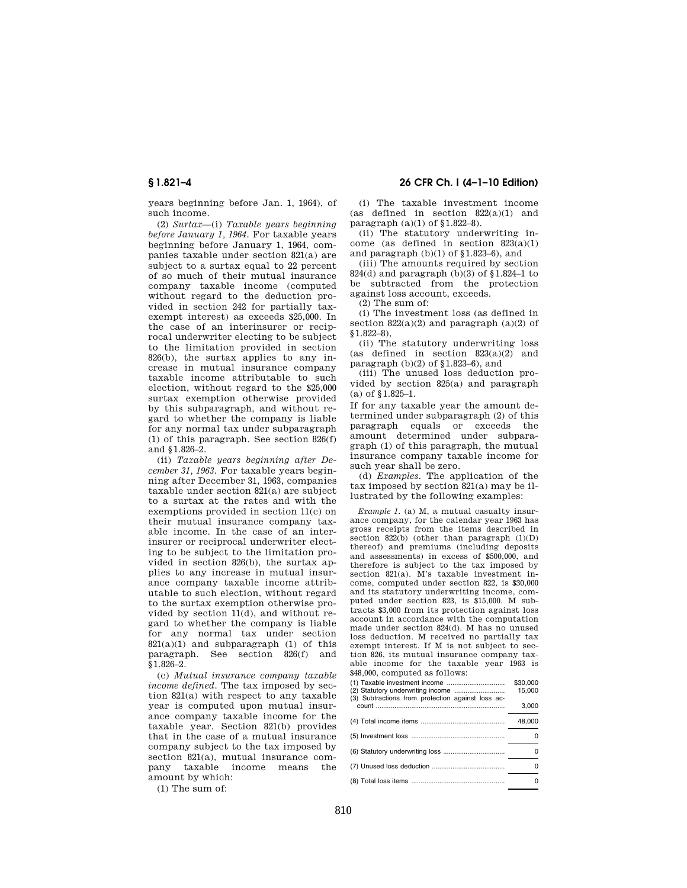**§ 1.821–4 26 CFR Ch. I (4–1–10 Edition)** 

years beginning before Jan. 1, 1964), of such income.

(2) *Surtax*—(i) *Taxable years beginning before January 1, 1964.* For taxable years beginning before January 1, 1964, companies taxable under section 821(a) are subject to a surtax equal to 22 percent of so much of their mutual insurance company taxable income (computed without regard to the deduction provided in section 242 for partially taxexempt interest) as exceeds \$25,000. In the case of an interinsurer or reciprocal underwriter electing to be subject to the limitation provided in section 826(b), the surtax applies to any increase in mutual insurance company taxable income attributable to such election, without regard to the \$25,000 surtax exemption otherwise provided by this subparagraph, and without regard to whether the company is liable for any normal tax under subparagraph (1) of this paragraph. See section 826(f) and §1.826–2.

(ii) *Taxable years beginning after December 31, 1963.* For taxable years beginning after December 31, 1963, companies taxable under section 821(a) are subject to a surtax at the rates and with the exemptions provided in section 11(c) on their mutual insurance company taxable income. In the case of an interinsurer or reciprocal underwriter electing to be subject to the limitation provided in section 826(b), the surtax applies to any increase in mutual insurance company taxable income attributable to such election, without regard to the surtax exemption otherwise provided by section 11(d), and without regard to whether the company is liable for any normal tax under section  $821(a)(1)$  and subparagraph (1) of this paragraph. See section 826(f) and §1.826–2.

(c) *Mutual insurance company taxable income defined.* The tax imposed by section 821(a) with respect to any taxable year is computed upon mutual insurance company taxable income for the taxable year. Section 821(b) provides that in the case of a mutual insurance company subject to the tax imposed by section 821(a), mutual insurance company taxable income means the amount by which:

(1) The sum of:

(i) The taxable investment income (as defined in section  $822(a)(1)$  and paragraph  $(a)(1)$  of  $$1.822-8$ ).

(ii) The statutory underwriting income (as defined in section 823(a)(1) and paragraph  $(b)(1)$  of §1.823–6), and

(iii) The amounts required by section 824(d) and paragraph (b)(3) of §1.824–1 to be subtracted from the protection against loss account, exceeds.

(2) The sum of:

(i) The investment loss (as defined in section  $822(a)(2)$  and paragraph  $(a)(2)$  of §1.822–8),

(ii) The statutory underwriting loss (as defined in section 823(a)(2) and paragraph  $(b)(2)$  of §1.823–6), and

(iii) The unused loss deduction provided by section 825(a) and paragraph (a) of §1.825–1.

If for any taxable year the amount determined under subparagraph (2) of this paragraph equals or exceeds the amount determined under subparagraph (1) of this paragraph, the mutual insurance company taxable income for such year shall be zero.

(d) *Examples.* The application of the tax imposed by section 821(a) may be illustrated by the following examples:

*Example 1.* (a) M, a mutual casualty insurance company, for the calendar year 1963 has gross receipts from the items described in section  $822(b)$  (other than paragraph  $(1)(D)$ thereof) and premiums (including deposits and assessments) in excess of \$500,000, and therefore is subject to the tax imposed by section 821(a). M's taxable investment income, computed under section 822, is \$30,000 and its statutory underwriting income, computed under section 823, is \$15,000. M subtracts \$3,000 from its protection against loss account in accordance with the computation made under section 824(d). M has no unused loss deduction. M received no partially tax exempt interest. If M is not subject to section 826, its mutual insurance company taxable income for the taxable year 1963 is \$48,000, computed as follows:

| (3) Subtractions from protection against loss ac- | \$30,000<br>15.000 |
|---------------------------------------------------|--------------------|
|                                                   | 3,000              |
|                                                   | 48,000             |
|                                                   |                    |
|                                                   | O                  |
|                                                   |                    |
|                                                   |                    |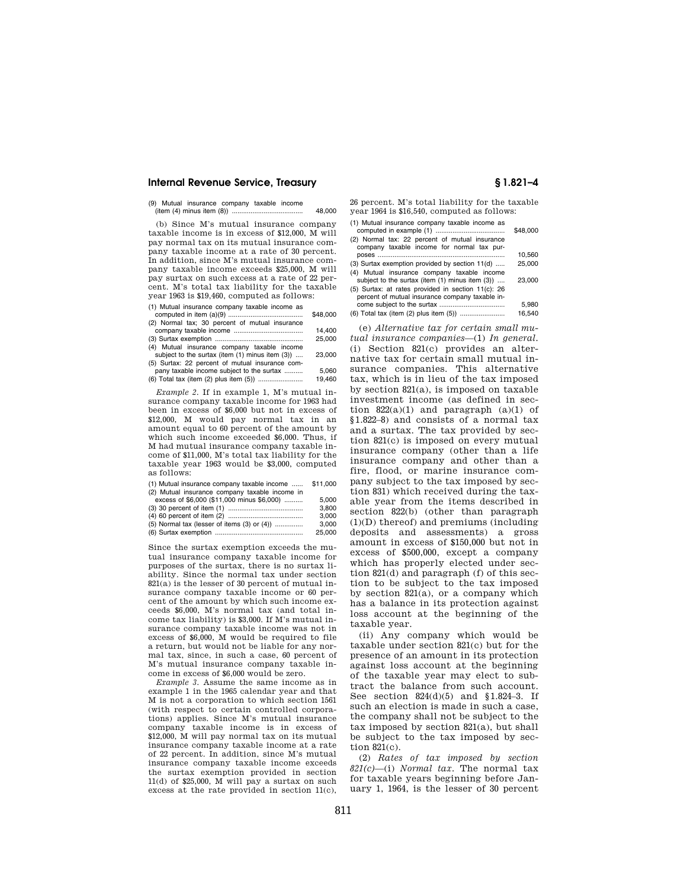### **Internal Revenue Service, Treasury § 1.821–4**

(9) Mutual insurance company taxable income (item (4) minus item (8)) ...................................... 48,000

(b) Since M's mutual insurance company taxable income is in excess of \$12,000, M will pay normal tax on its mutual insurance company taxable income at a rate of 30 percent. In addition, since M's mutual insurance company taxable income exceeds \$25,000, M will pay surtax on such excess at a rate of 22 percent. M's total tax liability for the taxable year 1963 is \$19,460, computed as follows:

(1) Mutual insurance company taxable income as

|                                                | \$48,000 |
|------------------------------------------------|----------|
| (2) Normal tax; 30 percent of mutual insurance |          |
|                                                | 14.400   |
|                                                | 25,000   |
| (4) Mutual insurance company taxable income    |          |

subject to the surtax (item  $(1)$  minus item  $(3)$ ) .... 23,000 (5) Surtax: 22 percent of mutual insurance com-

pany taxable income subject to the surtax .......... 5,060 (6) Total tax (item  $(2)$  plus item  $(5)$ ) ....

*Example 2.* If in example 1, M's mutual insurance company taxable income for 1963 had been in excess of \$6,000 but not in excess of \$12,000, M would pay normal tax in an amount equal to 60 percent of the amount by which such income exceeded \$6,000. Thus, if M had mutual insurance company taxable income of \$11,000, M's total tax liability for the taxable year 1963 would be \$3,000, computed as follows:

| (1) Mutual insurance company taxable income        | \$11,000 |
|----------------------------------------------------|----------|
| (2) Mutual insurance company taxable income in     |          |
| excess of \$6,000 (\$11,000 minus \$6,000)         | 5.000    |
|                                                    | 3.800    |
|                                                    | 3.000    |
| $(5)$ Normal tax (lesser of items $(3)$ or $(4)$ ) | 3.000    |
|                                                    | 25.000   |

Since the surtax exemption exceeds the mutual insurance company taxable income for purposes of the surtax, there is no surtax liability. Since the normal tax under section 821(a) is the lesser of 30 percent of mutual insurance company taxable income or 60 percent of the amount by which such income exceeds \$6,000, M's normal tax (and total income tax liability) is \$3,000. If M's mutual insurance company taxable income was not in excess of \$6,000, M would be required to file a return, but would not be liable for any normal tax, since, in such a case, 60 percent of M's mutual insurance company taxable income in excess of \$6,000 would be zero.

*Example 3.* Assume the same income as in example 1 in the 1965 calendar year and that M is not a corporation to which section 1561 (with respect to certain controlled corporations) applies. Since M's mutual insurance company taxable income is in excess of \$12,000, M will pay normal tax on its mutual insurance company taxable income at a rate of 22 percent. In addition, since M's mutual insurance company taxable income exceeds the surtax exemption provided in section 11(d) of \$25,000, M will pay a surtax on such excess at the rate provided in section 11(c),

26 percent. M's total liability for the taxable year 1964 is \$16,540, computed as follows:

| (1) Mutual insurance company taxable income as                                                        | \$48,000 |
|-------------------------------------------------------------------------------------------------------|----------|
| (2) Normal tax: 22 percent of mutual insurance<br>company taxable income for normal tax pur-          |          |
|                                                                                                       | 10,560   |
| (3) Surtax exemption provided by section 11(d)                                                        | 25,000   |
| (4) Mutual insurance company taxable income<br>subject to the surtax (item (1) minus item (3))        | 23,000   |
| (5) Surtax: at rates provided in section 11(c): 26<br>percent of mutual insurance company taxable in- |          |
|                                                                                                       | 5.980    |
|                                                                                                       | 16.540   |
|                                                                                                       |          |

(e) *Alternative tax for certain small mutual insurance companies*—(1) *In general.*  (i) Section 821(c) provides an alternative tax for certain small mutual insurance companies. This alternative tax, which is in lieu of the tax imposed by section 821(a), is imposed on taxable investment income (as defined in section  $822(a)(1)$  and paragraph  $(a)(1)$  of §1.822–8) and consists of a normal tax and a surtax. The tax provided by section 821(c) is imposed on every mutual insurance company (other than a life insurance company and other than a fire, flood, or marine insurance company subject to the tax imposed by section 831) which received during the taxable year from the items described in section 822(b) (other than paragraph (1)(D) thereof) and premiums (including deposits and assessments) a gross amount in excess of \$150,000 but not in excess of \$500,000, except a company which has properly elected under section 821(d) and paragraph (f) of this section to be subject to the tax imposed by section 821(a), or a company which has a balance in its protection against loss account at the beginning of the taxable year.

(ii) Any company which would be taxable under section 821(c) but for the presence of an amount in its protection against loss account at the beginning of the taxable year may elect to subtract the balance from such account. See section 824(d)(5) and §1.824–3. If such an election is made in such a case, the company shall not be subject to the tax imposed by section 821(a), but shall be subject to the tax imposed by section 821(c).

(2) *Rates of tax imposed by section 821(c)*—(i) *Normal tax.* The normal tax for taxable years beginning before January 1, 1964, is the lesser of 30 percent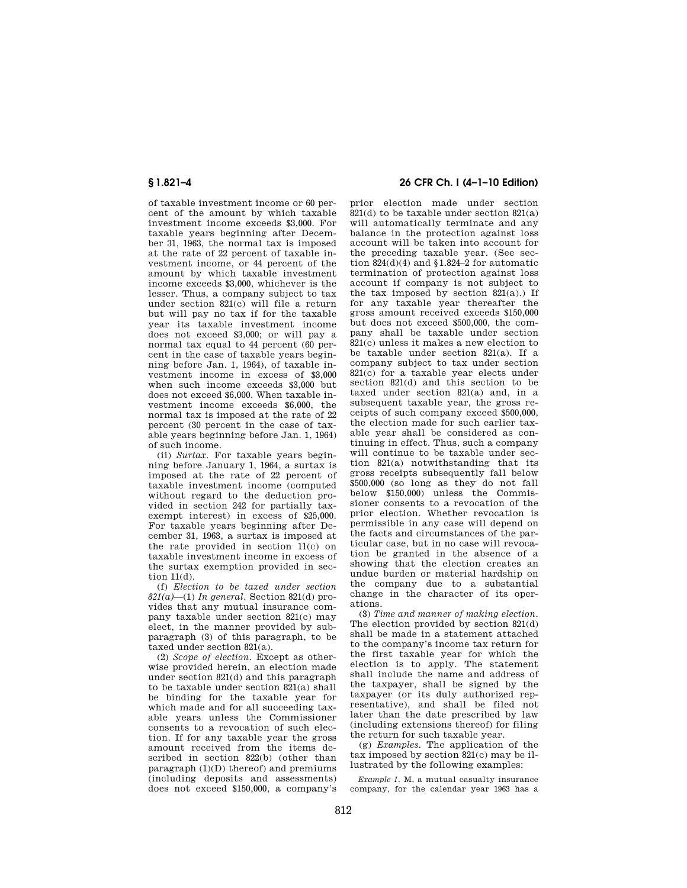of taxable investment income or 60 percent of the amount by which taxable investment income exceeds \$3,000. For taxable years beginning after December 31, 1963, the normal tax is imposed at the rate of 22 percent of taxable investment income, or 44 percent of the amount by which taxable investment income exceeds \$3,000, whichever is the lesser. Thus, a company subject to tax under section 821(c) will file a return but will pay no tax if for the taxable year its taxable investment income does not exceed \$3,000; or will pay a normal tax equal to 44 percent (60 percent in the case of taxable years beginning before Jan. 1, 1964), of taxable investment income in excess of \$3,000 when such income exceeds \$3,000 but does not exceed \$6,000. When taxable investment income exceeds \$6,000, the normal tax is imposed at the rate of 22 percent (30 percent in the case of taxable years beginning before Jan. 1, 1964) of such income.

(ii) *Surtax.* For taxable years beginning before January 1, 1964, a surtax is imposed at the rate of 22 percent of taxable investment income (computed without regard to the deduction provided in section 242 for partially taxexempt interest) in excess of \$25,000. For taxable years beginning after December 31, 1963, a surtax is imposed at the rate provided in section 11(c) on taxable investment income in excess of the surtax exemption provided in section 11(d).

(f) *Election to be taxed under section 821(a)*—(1) *In general.* Section 821(d) provides that any mutual insurance company taxable under section 821(c) may elect, in the manner provided by subparagraph (3) of this paragraph, to be taxed under section 821(a).

(2) *Scope of election.* Except as otherwise provided herein, an election made under section 821(d) and this paragraph to be taxable under section 821(a) shall be binding for the taxable year for which made and for all succeeding taxable years unless the Commissioner consents to a revocation of such election. If for any taxable year the gross amount received from the items described in section 822(b) (other than paragraph (1)(D) thereof) and premiums (including deposits and assessments) does not exceed \$150,000, a company's

# **§ 1.821–4 26 CFR Ch. I (4–1–10 Edition)**

prior election made under section  $821(d)$  to be taxable under section  $821(a)$ will automatically terminate and any balance in the protection against loss account will be taken into account for the preceding taxable year. (See section  $824(d)(4)$  and  $$1.824-2$  for automatic termination of protection against loss account if company is not subject to the tax imposed by section  $821(a)$ .) If for any taxable year thereafter the gross amount received exceeds \$150,000 but does not exceed \$500,000, the company shall be taxable under section 821(c) unless it makes a new election to be taxable under section 821(a). If a company subject to tax under section 821(c) for a taxable year elects under section 821(d) and this section to be taxed under section 821(a) and, in a subsequent taxable year, the gross receipts of such company exceed \$500,000, the election made for such earlier taxable year shall be considered as continuing in effect. Thus, such a company will continue to be taxable under section 821(a) notwithstanding that its gross receipts subsequently fall below \$500,000 (so long as they do not fall below \$150,000) unless the Commissioner consents to a revocation of the prior election. Whether revocation is permissible in any case will depend on the facts and circumstances of the particular case, but in no case will revocation be granted in the absence of a showing that the election creates an undue burden or material hardship on the company due to a substantial change in the character of its operations.

(3) *Time and manner of making election.*  The election provided by section 821(d) shall be made in a statement attached to the company's income tax return for the first taxable year for which the election is to apply. The statement shall include the name and address of the taxpayer, shall be signed by the taxpayer (or its duly authorized representative), and shall be filed not later than the date prescribed by law (including extensions thereof) for filing the return for such taxable year.

(g) *Examples.* The application of the tax imposed by section 821(c) may be illustrated by the following examples:

*Example 1.* M, a mutual casualty insurance company, for the calendar year 1963 has a